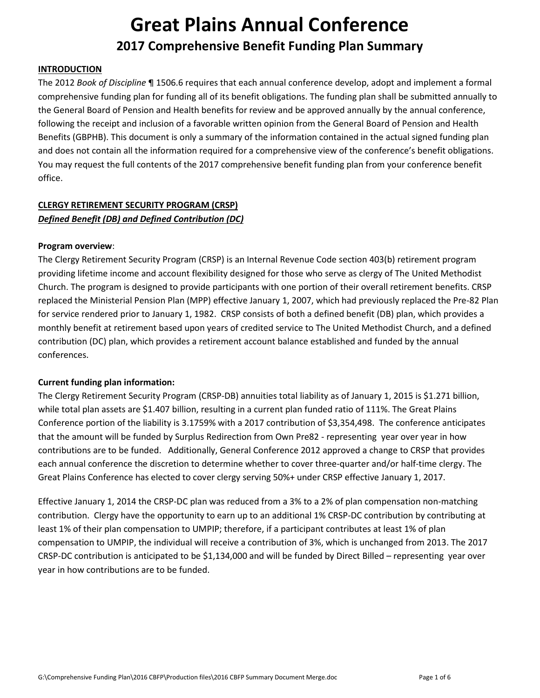## **INTRODUCTION**

The 2012 *Book of Discipline* ¶ 1506.6 requires that each annual conference develop, adopt and implement a formal comprehensive funding plan for funding all of its benefit obligations. The funding plan shall be submitted annually to the General Board of Pension and Health benefits for review and be approved annually by the annual conference, following the receipt and inclusion of a favorable written opinion from the General Board of Pension and Health Benefits (GBPHB). This document is only a summary of the information contained in the actual signed funding plan and does not contain all the information required for a comprehensive view of the conference's benefit obligations. You may request the full contents of the 2017 comprehensive benefit funding plan from your conference benefit office.

## **CLERGY RETIREMENT SECURITY PROGRAM (CRSP)** *Defined Benefit (DB) and Defined Contribution (DC)*

#### **Program overview**:

The Clergy Retirement Security Program (CRSP) is an Internal Revenue Code section 403(b) retirement program providing lifetime income and account flexibility designed for those who serve as clergy of The United Methodist Church. The program is designed to provide participants with one portion of their overall retirement benefits. CRSP replaced the Ministerial Pension Plan (MPP) effective January 1, 2007, which had previously replaced the Pre-82 Plan for service rendered prior to January 1, 1982. CRSP consists of both a defined benefit (DB) plan, which provides a monthly benefit at retirement based upon years of credited service to The United Methodist Church, and a defined contribution (DC) plan, which provides a retirement account balance established and funded by the annual conferences.

## **Current funding plan information:**

The Clergy Retirement Security Program (CRSP-DB) annuities total liability as of January 1, 2015 is \$1.271 billion, while total plan assets are \$1.407 billion, resulting in a current plan funded ratio of 111%. The Great Plains Conference portion of the liability is 3.1759% with a 2017 contribution of \$3,354,498. The conference anticipates that the amount will be funded by Surplus Redirection from Own Pre82 - representing year over year in how contributions are to be funded. Additionally, General Conference 2012 approved a change to CRSP that provides each annual conference the discretion to determine whether to cover three-quarter and/or half-time clergy. The Great Plains Conference has elected to cover clergy serving 50%+ under CRSP effective January 1, 2017.

Effective January 1, 2014 the CRSP-DC plan was reduced from a 3% to a 2% of plan compensation non-matching contribution. Clergy have the opportunity to earn up to an additional 1% CRSP-DC contribution by contributing at least 1% of their plan compensation to UMPIP; therefore, if a participant contributes at least 1% of plan compensation to UMPIP, the individual will receive a contribution of 3%, which is unchanged from 2013. The 2017 CRSP-DC contribution is anticipated to be \$1,134,000 and will be funded by Direct Billed – representing year over year in how contributions are to be funded.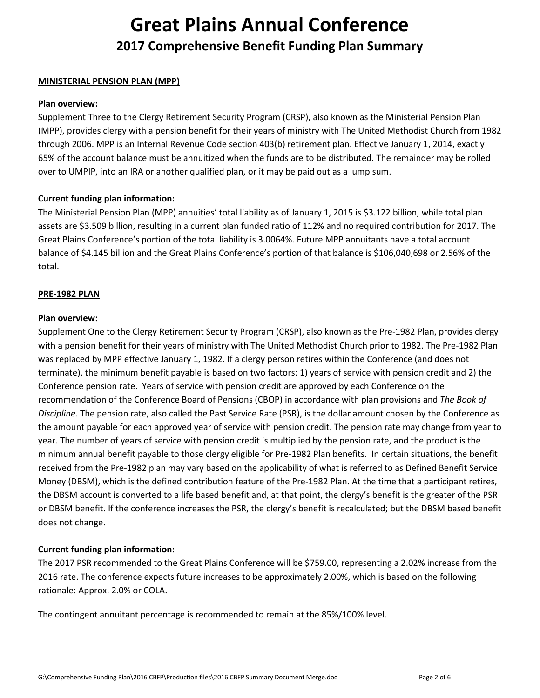#### **MINISTERIAL PENSION PLAN (MPP)**

#### **Plan overview:**

Supplement Three to the Clergy Retirement Security Program (CRSP), also known as the Ministerial Pension Plan (MPP), provides clergy with a pension benefit for their years of ministry with The United Methodist Church from 1982 through 2006. MPP is an Internal Revenue Code section 403(b) retirement plan. Effective January 1, 2014, exactly 65% of the account balance must be annuitized when the funds are to be distributed. The remainder may be rolled over to UMPIP, into an IRA or another qualified plan, or it may be paid out as a lump sum.

## **Current funding plan information:**

The Ministerial Pension Plan (MPP) annuities' total liability as of January 1, 2015 is \$3.122 billion, while total plan assets are \$3.509 billion, resulting in a current plan funded ratio of 112% and no required contribution for 2017. The Great Plains Conference's portion of the total liability is 3.0064%. Future MPP annuitants have a total account balance of \$4.145 billion and the Great Plains Conference's portion of that balance is \$106,040,698 or 2.56% of the total.

#### **PRE-1982 PLAN**

#### **Plan overview:**

Supplement One to the Clergy Retirement Security Program (CRSP), also known as the Pre-1982 Plan, provides clergy with a pension benefit for their years of ministry with The United Methodist Church prior to 1982. The Pre-1982 Plan was replaced by MPP effective January 1, 1982. If a clergy person retires within the Conference (and does not terminate), the minimum benefit payable is based on two factors: 1) years of service with pension credit and 2) the Conference pension rate. Years of service with pension credit are approved by each Conference on the recommendation of the Conference Board of Pensions (CBOP) in accordance with plan provisions and *The Book of Discipline*. The pension rate, also called the Past Service Rate (PSR), is the dollar amount chosen by the Conference as the amount payable for each approved year of service with pension credit. The pension rate may change from year to year. The number of years of service with pension credit is multiplied by the pension rate, and the product is the minimum annual benefit payable to those clergy eligible for Pre-1982 Plan benefits. In certain situations, the benefit received from the Pre-1982 plan may vary based on the applicability of what is referred to as Defined Benefit Service Money (DBSM), which is the defined contribution feature of the Pre-1982 Plan. At the time that a participant retires, the DBSM account is converted to a life based benefit and, at that point, the clergy's benefit is the greater of the PSR or DBSM benefit. If the conference increases the PSR, the clergy's benefit is recalculated; but the DBSM based benefit does not change.

## **Current funding plan information:**

The 2017 PSR recommended to the Great Plains Conference will be \$759.00, representing a 2.02% increase from the 2016 rate. The conference expects future increases to be approximately 2.00%, which is based on the following rationale: Approx. 2.0% or COLA.

The contingent annuitant percentage is recommended to remain at the 85%/100% level.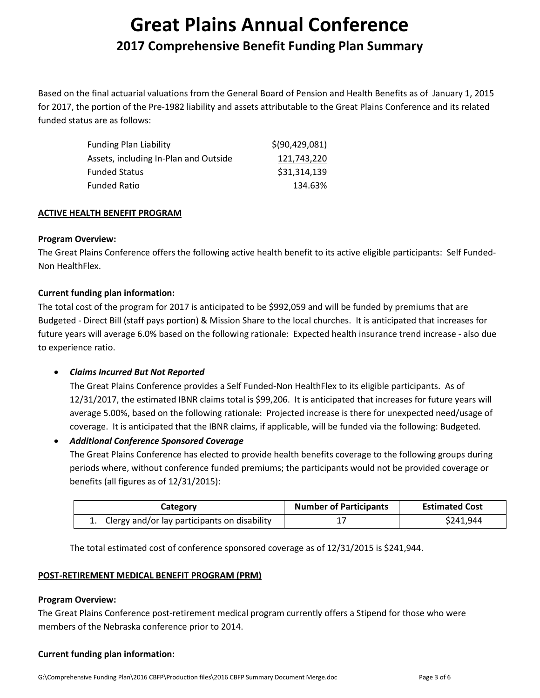Based on the final actuarial valuations from the General Board of Pension and Health Benefits as of January 1, 2015 for 2017, the portion of the Pre-1982 liability and assets attributable to the Great Plains Conference and its related funded status are as follows:

| <b>Funding Plan Liability</b>         | \$(90, 429, 081) |
|---------------------------------------|------------------|
| Assets, including In-Plan and Outside | 121,743,220      |
| <b>Funded Status</b>                  | \$31,314,139     |
| Funded Ratio                          | 134.63%          |

## **ACTIVE HEALTH BENEFIT PROGRAM**

## **Program Overview:**

The Great Plains Conference offers the following active health benefit to its active eligible participants: Self Funded-Non HealthFlex.

## **Current funding plan information:**

The total cost of the program for 2017 is anticipated to be \$992,059 and will be funded by premiums that are Budgeted - Direct Bill (staff pays portion) & Mission Share to the local churches. It is anticipated that increases for future years will average 6.0% based on the following rationale: Expected health insurance trend increase - also due to experience ratio.

## • *Claims Incurred But Not Reported*

The Great Plains Conference provides a Self Funded-Non HealthFlex to its eligible participants. As of 12/31/2017, the estimated IBNR claims total is \$99,206. It is anticipated that increases for future years will average 5.00%, based on the following rationale: Projected increase is there for unexpected need/usage of coverage. It is anticipated that the IBNR claims, if applicable, will be funded via the following: Budgeted.

## • *Additional Conference Sponsored Coverage*

The Great Plains Conference has elected to provide health benefits coverage to the following groups during periods where, without conference funded premiums; the participants would not be provided coverage or benefits (all figures as of 12/31/2015):

| Category                                        | <b>Number of Participants</b> | <b>Estimated Cost</b> |
|-------------------------------------------------|-------------------------------|-----------------------|
| 1. Clergy and/or lay participants on disability |                               | \$241,944             |

The total estimated cost of conference sponsored coverage as of 12/31/2015 is \$241,944.

## **POST-RETIREMENT MEDICAL BENEFIT PROGRAM (PRM)**

## **Program Overview:**

The Great Plains Conference post-retirement medical program currently offers a Stipend for those who were members of the Nebraska conference prior to 2014.

## **Current funding plan information:**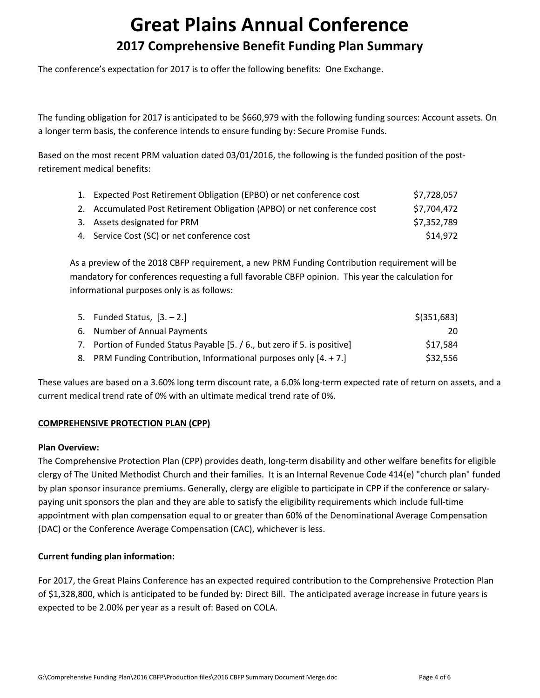The conference's expectation for 2017 is to offer the following benefits: One Exchange.

The funding obligation for 2017 is anticipated to be \$660,979 with the following funding sources: Account assets. On a longer term basis, the conference intends to ensure funding by: Secure Promise Funds.

Based on the most recent PRM valuation dated 03/01/2016, the following is the funded position of the postretirement medical benefits:

| 1. Expected Post Retirement Obligation (EPBO) or net conference cost    | \$7,728,057 |
|-------------------------------------------------------------------------|-------------|
| 2. Accumulated Post Retirement Obligation (APBO) or net conference cost | \$7,704,472 |
| 3. Assets designated for PRM                                            | \$7,352,789 |
| 4. Service Cost (SC) or net conference cost                             | \$14,972    |

As a preview of the 2018 CBFP requirement, a new PRM Funding Contribution requirement will be mandatory for conferences requesting a full favorable CBFP opinion. This year the calculation for informational purposes only is as follows:

| 5. Funded Status, [3. – 2.]                                               | $$$ (351,683) |
|---------------------------------------------------------------------------|---------------|
| 6. Number of Annual Payments                                              | 20.           |
| 7. Portion of Funded Status Payable [5. / 6., but zero if 5. is positive] | \$17.584      |
| 8. PRM Funding Contribution, Informational purposes only [4. + 7.]        | \$32.556      |

These values are based on a 3.60% long term discount rate, a 6.0% long-term expected rate of return on assets, and a current medical trend rate of 0% with an ultimate medical trend rate of 0%.

## **COMPREHENSIVE PROTECTION PLAN (CPP)**

## **Plan Overview:**

The Comprehensive Protection Plan (CPP) provides death, long-term disability and other welfare benefits for eligible clergy of The United Methodist Church and their families. It is an Internal Revenue Code 414(e) "church plan" funded by plan sponsor insurance premiums. Generally, clergy are eligible to participate in CPP if the conference or salarypaying unit sponsors the plan and they are able to satisfy the eligibility requirements which include full-time appointment with plan compensation equal to or greater than 60% of the Denominational Average Compensation (DAC) or the Conference Average Compensation (CAC), whichever is less.

## **Current funding plan information:**

For 2017, the Great Plains Conference has an expected required contribution to the Comprehensive Protection Plan of \$1,328,800, which is anticipated to be funded by: Direct Bill. The anticipated average increase in future years is expected to be 2.00% per year as a result of: Based on COLA.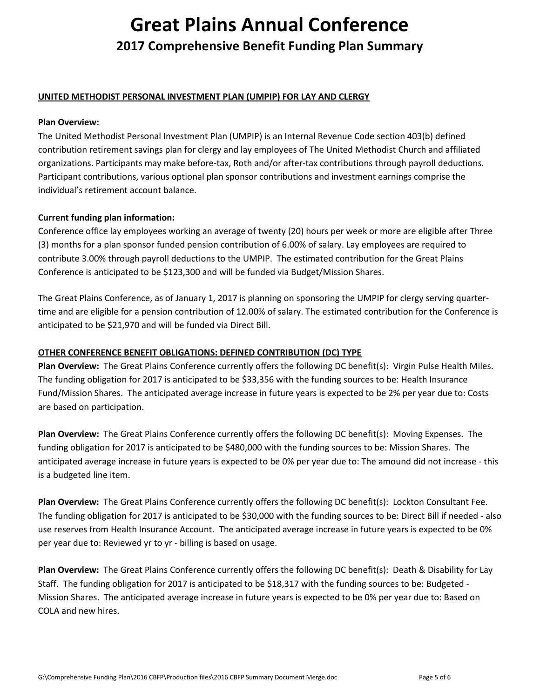## **UNITED METHODIST PERSONAL INVESTMENT PLAN (UMPIP) FOR LAY AND CLERGY**

#### **Plan Overview:**

The United Methodist Personal Investment Plan (UMPIP) is an Internal Revenue Code section 403(b) defined contribution retirement savings plan for clergy and lay employees of The United Methodist Church and affiliated organizations. Participants may make before-tax, Roth and/or after-tax contributions through payroll deductions. Participant contributions, various optional plan sponsor contributions and investment earnings comprise the individual's retirement account balance.

## **Current funding plan information:**

Conference office lay employees working an average of twenty (20) hours per week or more are eligible after Three (3) months for a plan sponsor funded pension contribution of 6.00% of salary. Lay employees are required to contribute 3.00% through payroll deductions to the UMPIP. The estimated contribution for the Great Plains Conference is anticipated to be \$123,300 and will be funded via Budget/Mission Shares.

The Great Plains Conference, as of January 1, 2017 is planning on sponsoring the UMPIP for clergy serving quartertime and are eligible for a pension contribution of 12.00% of salary. The estimated contribution for the Conference is anticipated to be \$21,970 and will be funded via Direct Bill.

### **OTHER CONFERENCE BENEFIT OBLIGATIONS: DEFINED CONTRIBUTION (DC) TYPE**

**Plan Overview:** The Great Plains Conference currently offers the following DC benefit(s): Virgin Pulse Health Miles. The funding obligation for 2017 is anticipated to be \$33,356 with the funding sources to be: Health Insurance Fund/Mission Shares. The anticipated average increase in future years is expected to be 2% per year due to: Costs are based on participation.

**Plan Overview:** The Great Plains Conference currently offers the following DC benefit(s): Moving Expenses. The funding obligation for 2017 is anticipated to be \$480,000 with the funding sources to be: Mission Shares. The anticipated average increase in future years is expected to be 0% per year due to: The amound did not increase - this is a budgeted line item.

**Plan Overview:** The Great Plains Conference currently offers the following DC benefit(s): Lockton Consultant Fee. The funding obligation for 2017 is anticipated to be \$30,000 with the funding sources to be: Direct Bill if needed - also use reserves from Health Insurance Account. The anticipated average increase in future years is expected to be 0% per year due to: Reviewed yr to yr - billing is based on usage.

**Plan Overview:** The Great Plains Conference currently offers the following DC benefit(s): Death & Disability for Lay Staff. The funding obligation for 2017 is anticipated to be \$18,317 with the funding sources to be: Budgeted - Mission Shares. The anticipated average increase in future years is expected to be 0% per year due to: Based on COLA and new hires.